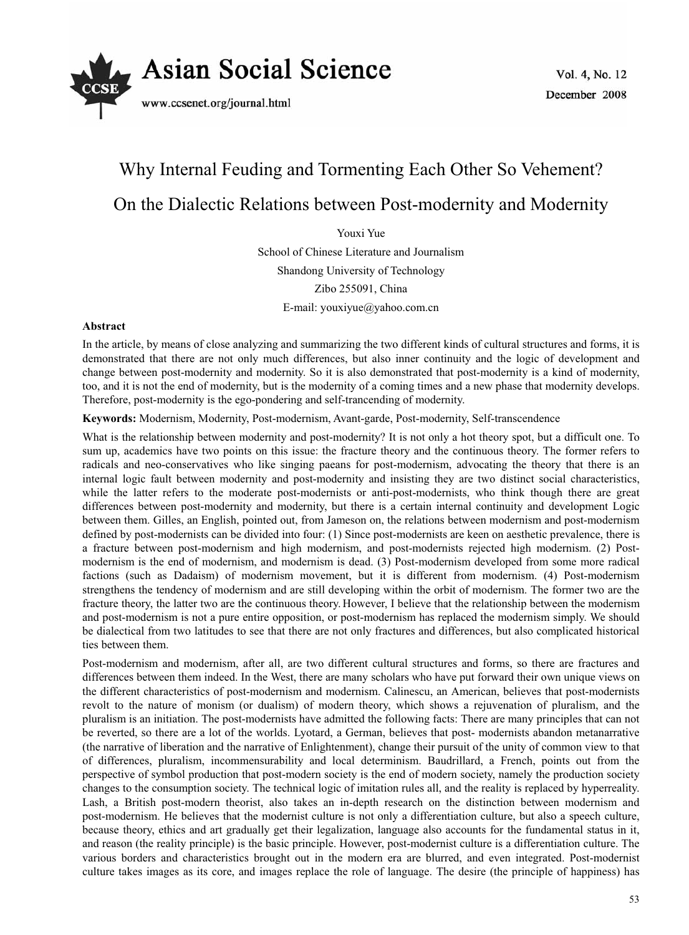

## Why Internal Feuding and Tormenting Each Other So Vehement? On the Dialectic Relations between Post-modernity and Modernity

Youxi Yue

School of Chinese Literature and Journalism Shandong University of Technology Zibo 255091, China E-mail: youxiyue@yahoo.com.cn

## **Abstract**

In the article, by means of close analyzing and summarizing the two different kinds of cultural structures and forms, it is demonstrated that there are not only much differences, but also inner continuity and the logic of development and change between post-modernity and modernity. So it is also demonstrated that post-modernity is a kind of modernity, too, and it is not the end of modernity, but is the modernity of a coming times and a new phase that modernity develops. Therefore, post-modernity is the ego-pondering and self-trancending of modernity.

**Keywords:** Modernism, Modernity, Post-modernism, Avant-garde, Post-modernity, Self-transcendence

What is the relationship between modernity and post-modernity? It is not only a hot theory spot, but a difficult one. To sum up, academics have two points on this issue: the fracture theory and the continuous theory. The former refers to radicals and neo-conservatives who like singing paeans for post-modernism, advocating the theory that there is an internal logic fault between modernity and post-modernity and insisting they are two distinct social characteristics, while the latter refers to the moderate post-modernists or anti-post-modernists, who think though there are great differences between post-modernity and modernity, but there is a certain internal continuity and development Logic between them. Gilles, an English, pointed out, from Jameson on, the relations between modernism and post-modernism defined by post-modernists can be divided into four: (1) Since post-modernists are keen on aesthetic prevalence, there is a fracture between post-modernism and high modernism, and post-modernists rejected high modernism. (2) Postmodernism is the end of modernism, and modernism is dead. (3) Post-modernism developed from some more radical factions (such as Dadaism) of modernism movement, but it is different from modernism. (4) Post-modernism strengthens the tendency of modernism and are still developing within the orbit of modernism. The former two are the fracture theory, the latter two are the continuous theory. However, I believe that the relationship between the modernism and post-modernism is not a pure entire opposition, or post-modernism has replaced the modernism simply. We should be dialectical from two latitudes to see that there are not only fractures and differences, but also complicated historical ties between them.

Post-modernism and modernism, after all, are two different cultural structures and forms, so there are fractures and differences between them indeed. In the West, there are many scholars who have put forward their own unique views on the different characteristics of post-modernism and modernism. Calinescu, an American, believes that post-modernists revolt to the nature of monism (or dualism) of modern theory, which shows a rejuvenation of pluralism, and the pluralism is an initiation. The post-modernists have admitted the following facts: There are many principles that can not be reverted, so there are a lot of the worlds. Lyotard, a German, believes that post- modernists abandon metanarrative (the narrative of liberation and the narrative of Enlightenment), change their pursuit of the unity of common view to that of differences, pluralism, incommensurability and local determinism. Baudrillard, a French, points out from the perspective of symbol production that post-modern society is the end of modern society, namely the production society changes to the consumption society. The technical logic of imitation rules all, and the reality is replaced by hyperreality. Lash, a British post-modern theorist, also takes an in-depth research on the distinction between modernism and post-modernism. He believes that the modernist culture is not only a differentiation culture, but also a speech culture, because theory, ethics and art gradually get their legalization, language also accounts for the fundamental status in it, and reason (the reality principle) is the basic principle. However, post-modernist culture is a differentiation culture. The various borders and characteristics brought out in the modern era are blurred, and even integrated. Post-modernist culture takes images as its core, and images replace the role of language. The desire (the principle of happiness) has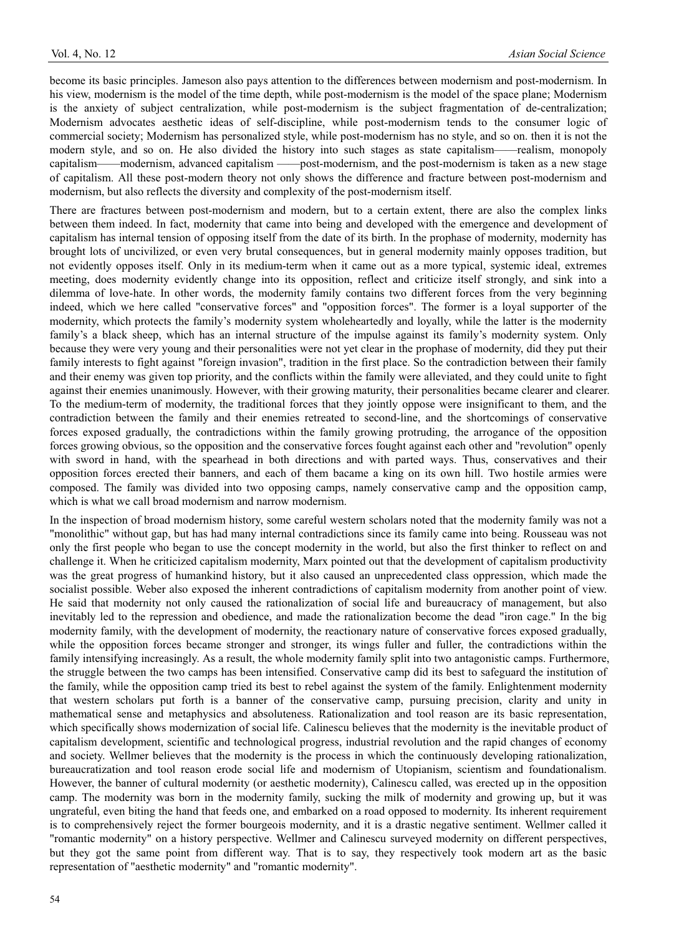become its basic principles. Jameson also pays attention to the differences between modernism and post-modernism. In his view, modernism is the model of the time depth, while post-modernism is the model of the space plane; Modernism is the anxiety of subject centralization, while post-modernism is the subject fragmentation of de-centralization; Modernism advocates aesthetic ideas of self-discipline, while post-modernism tends to the consumer logic of commercial society; Modernism has personalized style, while post-modernism has no style, and so on. then it is not the modern style, and so on. He also divided the history into such stages as state capitalism——realism, monopoly capitalism——modernism, advanced capitalism ——post-modernism, and the post-modernism is taken as a new stage of capitalism. All these post-modern theory not only shows the difference and fracture between post-modernism and modernism, but also reflects the diversity and complexity of the post-modernism itself.

There are fractures between post-modernism and modern, but to a certain extent, there are also the complex links between them indeed. In fact, modernity that came into being and developed with the emergence and development of capitalism has internal tension of opposing itself from the date of its birth. In the prophase of modernity, modernity has brought lots of uncivilized, or even very brutal consequences, but in general modernity mainly opposes tradition, but not evidently opposes itself. Only in its medium-term when it came out as a more typical, systemic ideal, extremes meeting, does modernity evidently change into its opposition, reflect and criticize itself strongly, and sink into a dilemma of love-hate. In other words, the modernity family contains two different forces from the very beginning indeed, which we here called "conservative forces" and "opposition forces". The former is a loyal supporter of the modernity, which protects the family's modernity system wholeheartedly and loyally, while the latter is the modernity family's a black sheep, which has an internal structure of the impulse against its family's modernity system. Only because they were very young and their personalities were not yet clear in the prophase of modernity, did they put their family interests to fight against "foreign invasion", tradition in the first place. So the contradiction between their family and their enemy was given top priority, and the conflicts within the family were alleviated, and they could unite to fight against their enemies unanimously. However, with their growing maturity, their personalities became clearer and clearer. To the medium-term of modernity, the traditional forces that they jointly oppose were insignificant to them, and the contradiction between the family and their enemies retreated to second-line, and the shortcomings of conservative forces exposed gradually, the contradictions within the family growing protruding, the arrogance of the opposition forces growing obvious, so the opposition and the conservative forces fought against each other and "revolution" openly with sword in hand, with the spearhead in both directions and with parted ways. Thus, conservatives and their opposition forces erected their banners, and each of them bacame a king on its own hill. Two hostile armies were composed. The family was divided into two opposing camps, namely conservative camp and the opposition camp, which is what we call broad modernism and narrow modernism.

In the inspection of broad modernism history, some careful western scholars noted that the modernity family was not a "monolithic" without gap, but has had many internal contradictions since its family came into being. Rousseau was not only the first people who began to use the concept modernity in the world, but also the first thinker to reflect on and challenge it. When he criticized capitalism modernity, Marx pointed out that the development of capitalism productivity was the great progress of humankind history, but it also caused an unprecedented class oppression, which made the socialist possible. Weber also exposed the inherent contradictions of capitalism modernity from another point of view. He said that modernity not only caused the rationalization of social life and bureaucracy of management, but also inevitably led to the repression and obedience, and made the rationalization become the dead "iron cage." In the big modernity family, with the development of modernity, the reactionary nature of conservative forces exposed gradually, while the opposition forces became stronger and stronger, its wings fuller and fuller, the contradictions within the family intensifying increasingly. As a result, the whole modernity family split into two antagonistic camps. Furthermore, the struggle between the two camps has been intensified. Conservative camp did its best to safeguard the institution of the family, while the opposition camp tried its best to rebel against the system of the family. Enlightenment modernity that western scholars put forth is a banner of the conservative camp, pursuing precision, clarity and unity in mathematical sense and metaphysics and absoluteness. Rationalization and tool reason are its basic representation, which specifically shows modernization of social life. Calinescu believes that the modernity is the inevitable product of capitalism development, scientific and technological progress, industrial revolution and the rapid changes of economy and society. Wellmer believes that the modernity is the process in which the continuously developing rationalization, bureaucratization and tool reason erode social life and modernism of Utopianism, scientism and foundationalism. However, the banner of cultural modernity (or aesthetic modernity), Calinescu called, was erected up in the opposition camp. The modernity was born in the modernity family, sucking the milk of modernity and growing up, but it was ungrateful, even biting the hand that feeds one, and embarked on a road opposed to modernity. Its inherent requirement is to comprehensively reject the former bourgeois modernity, and it is a drastic negative sentiment. Wellmer called it "romantic modernity" on a history perspective. Wellmer and Calinescu surveyed modernity on different perspectives, but they got the same point from different way. That is to say, they respectively took modern art as the basic representation of "aesthetic modernity" and "romantic modernity".